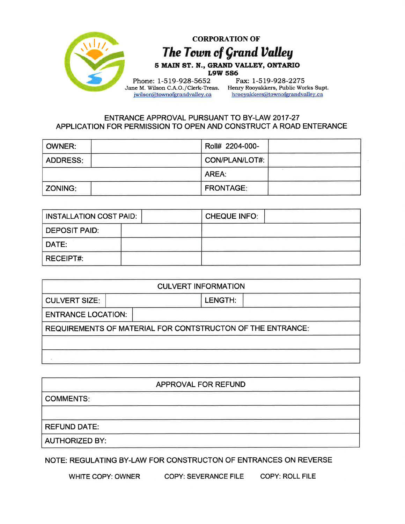

## ENTRANCE APPROVAL PURSUANT TO BY-LAW 2017-27 APPLICATION FOR PERMISSION TO OPEN AND CONSTRUCT A ROAD ENTERANCE

| OWNER:          | Roll# 2204-000-  |
|-----------------|------------------|
| <b>ADDRESS:</b> | CON/PLAN/LOT#:   |
|                 | AREA:            |
| <b>ZONING:</b>  | <b>FRONTAGE:</b> |

| INSTALLATION COST PAID: |  | <b>CHEQUE INFO:</b> |  |
|-------------------------|--|---------------------|--|
| DEPOSIT PAID:           |  |                     |  |
| DATE:                   |  |                     |  |
| <b>RECEIPT#:</b>        |  |                     |  |

| <b>CULVERT INFORMATION</b>                                 |  |         |  |  |  |  |
|------------------------------------------------------------|--|---------|--|--|--|--|
| <b>CULVERT SIZE:</b>                                       |  | LENGTH: |  |  |  |  |
| <b>ENTRANCE LOCATION:</b>                                  |  |         |  |  |  |  |
| REQUIREMENTS OF MATERIAL FOR CONTSTRUCTON OF THE ENTRANCE: |  |         |  |  |  |  |
|                                                            |  |         |  |  |  |  |
|                                                            |  |         |  |  |  |  |

| APPROVAL FOR REFUND   |  |  |  |  |  |
|-----------------------|--|--|--|--|--|
| <b>COMMENTS:</b>      |  |  |  |  |  |
|                       |  |  |  |  |  |
| <b>REFUND DATE:</b>   |  |  |  |  |  |
| <b>AUTHORIZED BY:</b> |  |  |  |  |  |

NOTE: REGULATING BY-LAW FOR CONSTRUCTON OF ENTRANCES ON REVERSE

WHITE COPY: OWNER COPY: SEVERANCE FILE COPY: ROLL FILE